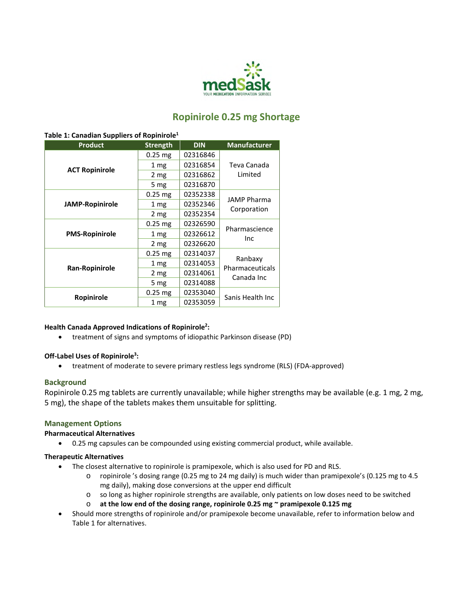

# **Ropinirole 0.25 mg Shortage**

### **Table 1: Canadian Suppliers of Ropinirole<sup>1</sup>**

| <b>Product</b>        | <b>Strength</b> | <b>DIN</b> | <b>Manufacturer</b>        |  |
|-----------------------|-----------------|------------|----------------------------|--|
|                       | $0.25$ mg       | 02316846   |                            |  |
| <b>ACT Ropinirole</b> | 1 <sub>mg</sub> | 02316854   | Teva Canada                |  |
|                       | 2 mg            | 02316862   | Limited                    |  |
|                       | 5 mg            | 02316870   |                            |  |
|                       | $0.25$ mg       | 02352338   | <b>JAMP Pharma</b>         |  |
| JAMP-Ropinirole       | 1 mg            | 02352346   | Corporation                |  |
|                       | 2 mg            | 02352354   |                            |  |
|                       | $0.25$ mg       | 02326590   | Pharmascience              |  |
| <b>PMS-Ropinirole</b> | 1 <sub>mg</sub> | 02326612   | Inc                        |  |
|                       | 2 mg            | 02326620   |                            |  |
|                       | $0.25$ mg       | 02314037   |                            |  |
|                       | 1 <sub>mg</sub> | 02314053   | Ranbaxy<br>Pharmaceuticals |  |
| <b>Ran-Ropinirole</b> | 2 mg            | 02314061   | Canada Inc                 |  |
|                       | 5 mg            | 02314088   |                            |  |
| <b>Ropinirole</b>     | $0.25$ mg       | 02353040   | Sanis Health Inc           |  |
|                       | 1 <sub>mg</sub> | 02353059   |                            |  |

### **Health Canada Approved Indications of Ropinirole<sup>2</sup> :**

treatment of signs and symptoms of idiopathic Parkinson disease (PD)

#### **Off-Label Uses of Ropinirole<sup>3</sup> :**

treatment of moderate to severe primary restless legs syndrome (RLS) (FDA-approved)

### **Background**

Ropinirole 0.25 mg tablets are currently unavailable; while higher strengths may be available (e.g. 1 mg, 2 mg, 5 mg), the shape of the tablets makes them unsuitable for splitting.

### **Management Options**

#### **Pharmaceutical Alternatives**

0.25 mg capsules can be compounded using existing commercial product, while available.

#### **Therapeutic Alternatives**

- The closest alternative to ropinirole is pramipexole, which is also used for PD and RLS.
	- o ropinirole 's dosing range (0.25 mg to 24 mg daily) is much wider than pramipexole's (0.125 mg to 4.5 mg daily), making dose conversions at the upper end difficult
	- o so long as higher ropinirole strengths are available, only patients on low doses need to be switched
	- o **at the low end of the dosing range, ropinirole 0.25 mg ~ pramipexole 0.125 mg**
- Should more strengths of ropinirole and/or pramipexole become unavailable, refer to information below and Table 1 for alternatives.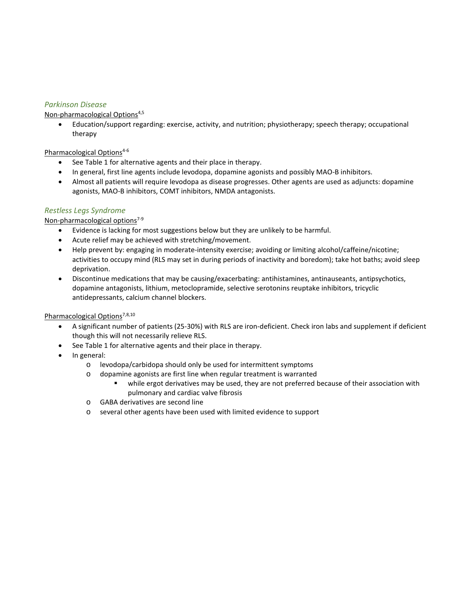# *Parkinson Disease*

Non-pharmacological Options4,5

 Education/support regarding: exercise, activity, and nutrition; physiotherapy; speech therapy; occupational therapy

# Pharmacological Options<sup>4-6</sup>

- See Table 1 for alternative agents and their place in therapy.
- In general, first line agents include levodopa, dopamine agonists and possibly MAO-B inhibitors.
- Almost all patients will require levodopa as disease progresses. Other agents are used as adjuncts: dopamine agonists, MAO-B inhibitors, COMT inhibitors, NMDA antagonists.

# *Restless Legs Syndrome*

Non-pharmacological options<sup>7-9</sup>

- Evidence is lacking for most suggestions below but they are unlikely to be harmful.
- Acute relief may be achieved with stretching/movement.
- Help prevent by: engaging in moderate-intensity exercise; avoiding or limiting alcohol/caffeine/nicotine; activities to occupy mind (RLS may set in during periods of inactivity and boredom); take hot baths; avoid sleep deprivation.
- Discontinue medications that may be causing/exacerbating: antihistamines, antinauseants, antipsychotics, dopamine antagonists, lithium, metoclopramide, selective serotonins reuptake inhibitors, tricyclic antidepressants, calcium channel blockers.

### Pharmacological Options<sup>7,8,10</sup>

- A significant number of patients (25-30%) with RLS are iron-deficient. Check iron labs and supplement if deficient though this will not necessarily relieve RLS.
- See Table 1 for alternative agents and their place in therapy.
- In general:
	- o levodopa/carbidopa should only be used for intermittent symptoms
	- o dopamine agonists are first line when regular treatment is warranted
		- while ergot derivatives may be used, they are not preferred because of their association with pulmonary and cardiac valve fibrosis
	- o GABA derivatives are second line
	- o several other agents have been used with limited evidence to support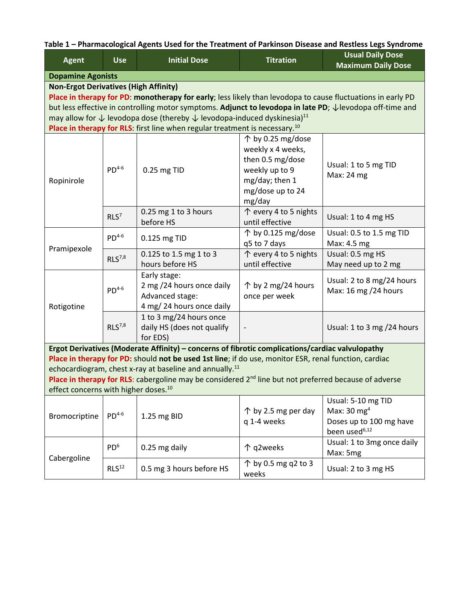|  |  |  | Table 1 – Pharmacological Agents Used for the Treatment of Parkinson Disease and Restless Legs Syndrome |  |  |
|--|--|--|---------------------------------------------------------------------------------------------------------|--|--|
|--|--|--|---------------------------------------------------------------------------------------------------------|--|--|

| <b>Agent</b>                                                                                                      | <b>Use</b>        | <b>Initial Dose</b>                                                                                         | <b>Titration</b>                   | <b>Usual Daily Dose</b><br><b>Maximum Daily Dose</b> |
|-------------------------------------------------------------------------------------------------------------------|-------------------|-------------------------------------------------------------------------------------------------------------|------------------------------------|------------------------------------------------------|
| <b>Dopamine Agonists</b>                                                                                          |                   |                                                                                                             |                                    |                                                      |
| <b>Non-Ergot Derivatives (High Affinity)</b>                                                                      |                   |                                                                                                             |                                    |                                                      |
|                                                                                                                   |                   | Place in therapy for PD: monotherapy for early; less likely than levodopa to cause fluctuations in early PD |                                    |                                                      |
|                                                                                                                   |                   | but less effective in controlling motor symptoms. Adjunct to levodopa in late PD; ↓ levodopa off-time and   |                                    |                                                      |
|                                                                                                                   |                   | may allow for $\downarrow$ levodopa dose (thereby $\downarrow$ levodopa-induced dyskinesia) <sup>11</sup>   |                                    |                                                      |
|                                                                                                                   |                   | Place in therapy for RLS: first line when regular treatment is necessary. <sup>10</sup>                     |                                    |                                                      |
|                                                                                                                   |                   |                                                                                                             | $\uparrow$ by 0.25 mg/dose         |                                                      |
|                                                                                                                   |                   |                                                                                                             | weekly x 4 weeks,                  |                                                      |
|                                                                                                                   |                   |                                                                                                             | then 0.5 mg/dose                   | Usual: 1 to 5 mg TID                                 |
|                                                                                                                   | $PD^{4-6}$        | 0.25 mg TID                                                                                                 | weekly up to 9                     | Max: 24 mg                                           |
| Ropinirole                                                                                                        |                   |                                                                                                             | mg/day; then 1                     |                                                      |
|                                                                                                                   |                   |                                                                                                             | mg/dose up to 24                   |                                                      |
|                                                                                                                   |                   |                                                                                                             | mg/day                             |                                                      |
|                                                                                                                   | RLS <sup>7</sup>  | 0.25 mg 1 to 3 hours                                                                                        | ↑ every 4 to 5 nights              | Usual: 1 to 4 mg HS                                  |
|                                                                                                                   |                   | before HS                                                                                                   | until effective                    |                                                      |
|                                                                                                                   | $PD^{4-6}$        |                                                                                                             | $\uparrow$ by 0.125 mg/dose        | Usual: 0.5 to 1.5 mg TID                             |
| Pramipexole                                                                                                       |                   | 0.125 mg TID                                                                                                | q5 to 7 days                       | Max: 4.5 mg                                          |
|                                                                                                                   | $RLS^{7,8}$       | 0.125 to 1.5 mg 1 to 3                                                                                      | ↑ every 4 to 5 nights              | Usual: 0.5 mg HS                                     |
|                                                                                                                   |                   | hours before HS                                                                                             | until effective                    | May need up to 2 mg                                  |
|                                                                                                                   | $PD^{4-6}$        | Early stage:                                                                                                |                                    | Usual: 2 to 8 mg/24 hours                            |
|                                                                                                                   |                   | 2 mg /24 hours once daily                                                                                   | $\uparrow$ by 2 mg/24 hours        | Max: 16 mg / 24 hours                                |
|                                                                                                                   |                   | Advanced stage:                                                                                             | once per week                      |                                                      |
| Rotigotine                                                                                                        |                   | 4 mg/ 24 hours once daily                                                                                   |                                    |                                                      |
|                                                                                                                   | $RLS^{7,8}$       | 1 to 3 mg/24 hours once                                                                                     |                                    |                                                      |
|                                                                                                                   |                   | daily HS (does not qualify                                                                                  |                                    | Usual: 1 to 3 mg /24 hours                           |
|                                                                                                                   |                   | for EDS)                                                                                                    |                                    |                                                      |
| Ergot Derivatives (Moderate Affinity) - concerns of fibrotic complications/cardiac valvulopathy                   |                   |                                                                                                             |                                    |                                                      |
| Place in therapy for PD: should not be used 1st line; if do use, monitor ESR, renal function, cardiac             |                   |                                                                                                             |                                    |                                                      |
| echocardiogram, chest x-ray at baseline and annually. <sup>11</sup>                                               |                   |                                                                                                             |                                    |                                                      |
| Place in therapy for RLS: cabergoline may be considered 2 <sup>nd</sup> line but not preferred because of adverse |                   |                                                                                                             |                                    |                                                      |
| effect concerns with higher doses. <sup>10</sup>                                                                  |                   |                                                                                                             |                                    |                                                      |
| Bromocriptine                                                                                                     | $PD^{4-6}$        | 1.25 mg BID                                                                                                 | ↑ by 2.5 mg per day<br>g 1-4 weeks | Usual: 5-10 mg TID                                   |
|                                                                                                                   |                   |                                                                                                             |                                    | Max: $30 \text{ mg}^4$                               |
|                                                                                                                   |                   |                                                                                                             |                                    | Doses up to 100 mg have                              |
|                                                                                                                   |                   |                                                                                                             |                                    | been used <sup>6,12</sup>                            |
|                                                                                                                   | PD <sup>6</sup>   | 0.25 mg daily                                                                                               | 个 q2weeks                          | Usual: 1 to 3mg once daily                           |
|                                                                                                                   |                   |                                                                                                             |                                    | Max: 5mg                                             |
| Cabergoline                                                                                                       | RLS <sup>12</sup> |                                                                                                             | $\uparrow$ by 0.5 mg q2 to 3       |                                                      |
|                                                                                                                   |                   | 0.5 mg 3 hours before HS<br>weeks                                                                           |                                    | Usual: 2 to 3 mg HS                                  |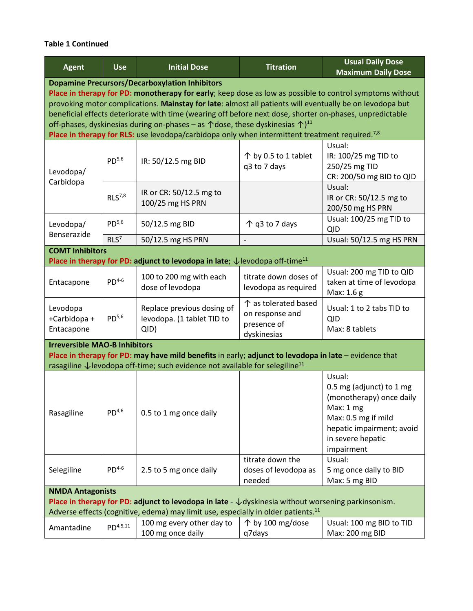# **Table 1 Continued**

| <b>Agent</b>                                                                                                                                                                                                                                                                                                                                                                                                                                                                                                                                                  | <b>Use</b>        | <b>Initial Dose</b>                                                                                        | <b>Titration</b>                                                      | <b>Usual Daily Dose</b>                                                                                                                                            |  |
|---------------------------------------------------------------------------------------------------------------------------------------------------------------------------------------------------------------------------------------------------------------------------------------------------------------------------------------------------------------------------------------------------------------------------------------------------------------------------------------------------------------------------------------------------------------|-------------------|------------------------------------------------------------------------------------------------------------|-----------------------------------------------------------------------|--------------------------------------------------------------------------------------------------------------------------------------------------------------------|--|
| <b>Maximum Daily Dose</b><br><b>Dopamine Precursors/Decarboxylation Inhibitors</b>                                                                                                                                                                                                                                                                                                                                                                                                                                                                            |                   |                                                                                                            |                                                                       |                                                                                                                                                                    |  |
| Place in therapy for PD: monotherapy for early; keep dose as low as possible to control symptoms without<br>provoking motor complications. Mainstay for late: almost all patients will eventually be on levodopa but<br>beneficial effects deteriorate with time (wearing off before next dose, shorter on-phases, unpredictable<br>off-phases, dyskinesias during on-phases – as $\uparrow$ dose, these dyskinesias $\uparrow$ ) <sup>11</sup><br>Place in therapy for RLS: use levodopa/carbidopa only when intermittent treatment required. <sup>7,8</sup> |                   |                                                                                                            |                                                                       |                                                                                                                                                                    |  |
| Levodopa/<br>Carbidopa                                                                                                                                                                                                                                                                                                                                                                                                                                                                                                                                        | PD <sup>5,6</sup> | IR: 50/12.5 mg BID                                                                                         | ↑ by 0.5 to 1 tablet<br>q3 to 7 days                                  | Usual:<br>IR: 100/25 mg TID to<br>250/25 mg TID<br>CR: 200/50 mg BID to QID                                                                                        |  |
|                                                                                                                                                                                                                                                                                                                                                                                                                                                                                                                                                               | $RLS^{7,8}$       | IR or CR: 50/12.5 mg to<br>100/25 mg HS PRN                                                                |                                                                       | Usual:<br>IR or CR: 50/12.5 mg to<br>200/50 mg HS PRN                                                                                                              |  |
| Levodopa/<br>Benserazide                                                                                                                                                                                                                                                                                                                                                                                                                                                                                                                                      | PD <sup>5,6</sup> | 50/12.5 mg BID                                                                                             | 个 q3 to 7 days                                                        | Usual: 100/25 mg TID to<br><b>QID</b>                                                                                                                              |  |
|                                                                                                                                                                                                                                                                                                                                                                                                                                                                                                                                                               | RLS <sup>7</sup>  | 50/12.5 mg HS PRN                                                                                          | $\frac{1}{2}$                                                         | Usual: 50/12.5 mg HS PRN                                                                                                                                           |  |
| <b>COMT Inhibitors</b>                                                                                                                                                                                                                                                                                                                                                                                                                                                                                                                                        |                   | <b>Place in therapy for PD: adjunct to levodopa in late</b> ; $\downarrow$ levodopa off-time <sup>11</sup> |                                                                       |                                                                                                                                                                    |  |
| Entacapone                                                                                                                                                                                                                                                                                                                                                                                                                                                                                                                                                    | $PD^{4-6}$        | 100 to 200 mg with each<br>dose of levodopa                                                                | titrate down doses of<br>levodopa as required                         | Usual: 200 mg TID to QID<br>taken at time of levodopa<br>Max: 1.6 g                                                                                                |  |
| Levodopa<br>+Carbidopa +<br>Entacapone                                                                                                                                                                                                                                                                                                                                                                                                                                                                                                                        | PD <sup>5,6</sup> | Replace previous dosing of<br>levodopa. (1 tablet TID to<br>QID                                            | ↑ as tolerated based<br>on response and<br>presence of<br>dyskinesias | Usual: 1 to 2 tabs TID to<br>QID<br>Max: 8 tablets                                                                                                                 |  |
| <b>Irreversible MAO-B Inhibitors</b>                                                                                                                                                                                                                                                                                                                                                                                                                                                                                                                          |                   |                                                                                                            |                                                                       |                                                                                                                                                                    |  |
| Place in therapy for PD: may have mild benefits in early; adjunct to levodopa in late - evidence that<br>rasagiline $\downarrow$ levodopa off-time; such evidence not available for selegiline <sup>11</sup>                                                                                                                                                                                                                                                                                                                                                  |                   |                                                                                                            |                                                                       |                                                                                                                                                                    |  |
| Rasagiline                                                                                                                                                                                                                                                                                                                                                                                                                                                                                                                                                    | PD <sup>4,6</sup> | 0.5 to 1 mg once daily                                                                                     |                                                                       | Usual:<br>0.5 mg (adjunct) to 1 mg<br>(monotherapy) once daily<br>Max: 1 mg<br>Max: 0.5 mg if mild<br>hepatic impairment; avoid<br>in severe hepatic<br>impairment |  |
| Selegiline                                                                                                                                                                                                                                                                                                                                                                                                                                                                                                                                                    | $PD^{4-6}$        | 2.5 to 5 mg once daily                                                                                     | titrate down the<br>doses of levodopa as<br>needed                    | Usual:<br>5 mg once daily to BID<br>Max: 5 mg BID                                                                                                                  |  |
| <b>NMDA Antagonists</b>                                                                                                                                                                                                                                                                                                                                                                                                                                                                                                                                       |                   |                                                                                                            |                                                                       |                                                                                                                                                                    |  |
| Place in therapy for PD: adjunct to levodopa in late - $\downarrow$ dyskinesia without worsening parkinsonism.<br>Adverse effects (cognitive, edema) may limit use, especially in older patients. <sup>11</sup>                                                                                                                                                                                                                                                                                                                                               |                   |                                                                                                            |                                                                       |                                                                                                                                                                    |  |
| Amantadine                                                                                                                                                                                                                                                                                                                                                                                                                                                                                                                                                    | $PD^{4,5,11}$     | 100 mg every other day to<br>100 mg once daily                                                             | $\uparrow$ by 100 mg/dose<br>q7days                                   | Usual: 100 mg BID to TID<br>Max: 200 mg BID                                                                                                                        |  |